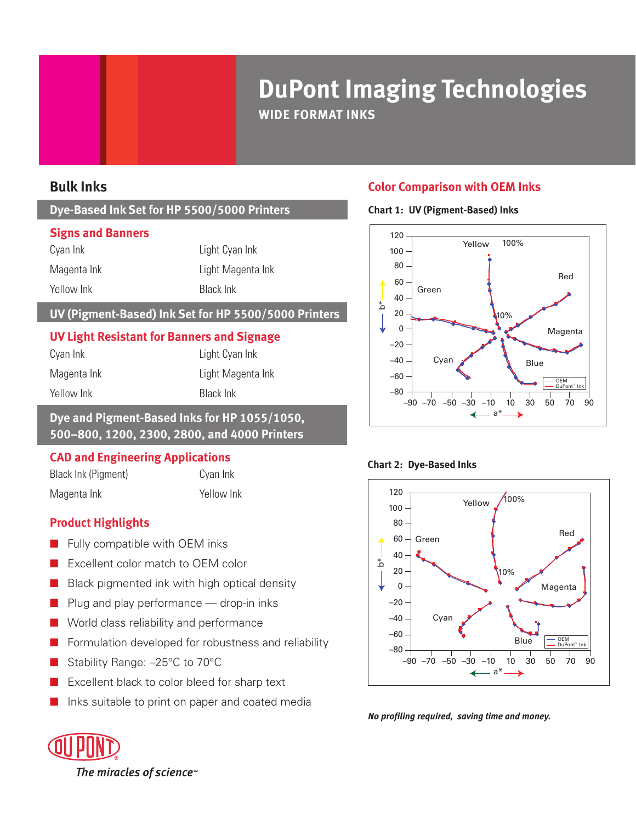# **DuPont Imaging Technologies WIDE FORMAT INKS**

# **Bulk Inks**

# **Dye-Based Ink Set for HP 5500/5000 Printers**

#### **Signs and Banners**

Cyan Ink Light Cyan Ink Magenta Ink Light Magenta Ink Yellow Ink **Black Ink** 

### **UV (Pigment-Based) Ink Set for HP 5500/5000 Printers**

#### **UV Light Resistant for Banners and Signage**

| Cyan Ink    | Light Cyan Ink    |
|-------------|-------------------|
| Magenta Ink | Light Magenta Ink |
| Yellow Ink  | Black Ink         |

#### **Dye and Pigment-Based Inks for HP 1055/1050, 500–800, 1200, 2300, 2800, and 4000 Printers**

# **CAD and Engineering Applications**

Black Ink (Pigment) Cyan Ink Magenta Ink Yellow Ink

# **Product Highlights**

- Fully compatible with OEM inks
- Excellent color match to OEM color
- Black pigmented ink with high optical density
- Plug and play performance drop-in inks
- World class reliability and performance
- Formulation developed for robustness and reliability
- Stability Range: -25°C to 70°C
- Excellent black to color bleed for sharp text
- Inks suitable to print on paper and coated media

# **Color Comparison with OEM Inks**

## **Chart 1: UV (Pigment-Based) Inks**



#### **Chart 2: Dye-Based Inks**



*No profiling required, saving time and money.*

The miracles of science<sup>™</sup>